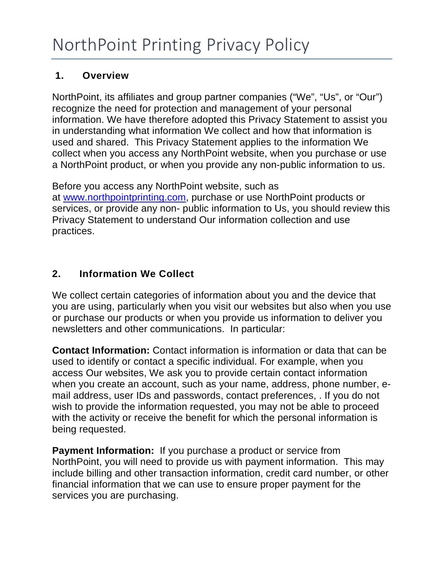#### **1. Overview**

NorthPoint, its affiliates and group partner companies ("We", "Us", or "Our") recognize the need for protection and management of your personal information. We have therefore adopted this Privacy Statement to assist you in understanding what information We collect and how that information is used and shared. This Privacy Statement applies to the information We collect when you access any NorthPoint website, when you purchase or use a NorthPoint product, or when you provide any non-public information to us.

Before you access any NorthPoint website, such as at [www.northpointprinting.com,](http://www.northpointprinting.com/) purchase or use NorthPoint products or services, or provide any non- public information to Us, you should review this Privacy Statement to understand Our information collection and use practices.

# **2. Information We Collect**

We collect certain categories of information about you and the device that you are using, particularly when you visit our websites but also when you use or purchase our products or when you provide us information to deliver you newsletters and other communications. In particular:

**Contact Information:** Contact information is information or data that can be used to identify or contact a specific individual. For example, when you access Our websites, We ask you to provide certain contact information when you create an account, such as your name, address, phone number, email address, user IDs and passwords, contact preferences, . If you do not wish to provide the information requested, you may not be able to proceed with the activity or receive the benefit for which the personal information is being requested.

**Payment Information:** If you purchase a product or service from NorthPoint, you will need to provide us with payment information. This may include billing and other transaction information, credit card number, or other financial information that we can use to ensure proper payment for the services you are purchasing.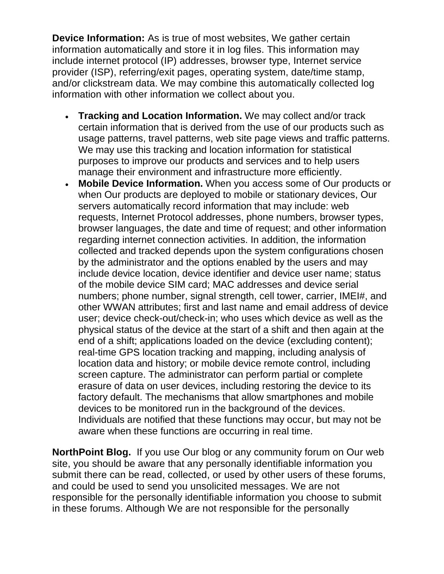**Device Information:** As is true of most websites, We gather certain information automatically and store it in log files. This information may include internet protocol (IP) addresses, browser type, Internet service provider (ISP), referring/exit pages, operating system, date/time stamp, and/or clickstream data. We may combine this automatically collected log information with other information we collect about you.

- **Tracking and Location Information.** We may collect and/or track certain information that is derived from the use of our products such as usage patterns, travel patterns, web site page views and traffic patterns. We may use this tracking and location information for statistical purposes to improve our products and services and to help users manage their environment and infrastructure more efficiently.
- **Mobile Device Information.** When you access some of Our products or when Our products are deployed to mobile or stationary devices, Our servers automatically record information that may include: web requests, Internet Protocol addresses, phone numbers, browser types, browser languages, the date and time of request; and other information regarding internet connection activities. In addition, the information collected and tracked depends upon the system configurations chosen by the administrator and the options enabled by the users and may include device location, device identifier and device user name; status of the mobile device SIM card; MAC addresses and device serial numbers; phone number, signal strength, cell tower, carrier, IMEI#, and other WWAN attributes; first and last name and email address of device user; device check-out/check-in; who uses which device as well as the physical status of the device at the start of a shift and then again at the end of a shift; applications loaded on the device (excluding content); real-time GPS location tracking and mapping, including analysis of location data and history; or mobile device remote control, including screen capture. The administrator can perform partial or complete erasure of data on user devices, including restoring the device to its factory default. The mechanisms that allow smartphones and mobile devices to be monitored run in the background of the devices. Individuals are notified that these functions may occur, but may not be aware when these functions are occurring in real time.

**NorthPoint Blog.** If you use Our blog or any community forum on Our web site, you should be aware that any personally identifiable information you submit there can be read, collected, or used by other users of these forums, and could be used to send you unsolicited messages. We are not responsible for the personally identifiable information you choose to submit in these forums. Although We are not responsible for the personally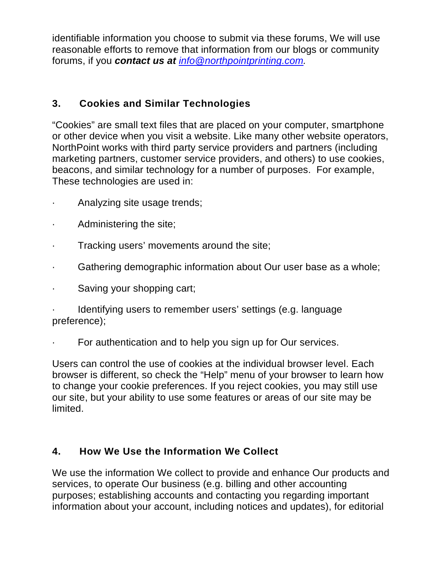identifiable information you choose to submit via these forums, We will use reasonable efforts to remove that information from our blogs or community forums, if you *contact us at [info@northpointprinting.com.](mailto:info@northpointprinting.com)* 

### **3. Cookies and Similar Technologies**

"Cookies" are small text files that are placed on your computer, smartphone or other device when you visit a website. Like many other website operators, NorthPoint works with third party service providers and partners (including marketing partners, customer service providers, and others) to use cookies, beacons, and similar technology for a number of purposes. For example, These technologies are used in:

- Analyzing site usage trends;
- Administering the site;
- Tracking users' movements around the site;
- Gathering demographic information about Our user base as a whole;
- · Saving your shopping cart;

Identifying users to remember users' settings (e.g. language preference);

For authentication and to help you sign up for Our services.

Users can control the use of cookies at the individual browser level. Each browser is different, so check the "Help" menu of your browser to learn how to change your cookie preferences. If you reject cookies, you may still use our site, but your ability to use some features or areas of our site may be limited.

## **4. How We Use the Information We Collect**

We use the information We collect to provide and enhance Our products and services, to operate Our business (e.g. billing and other accounting purposes; establishing accounts and contacting you regarding important information about your account, including notices and updates), for editorial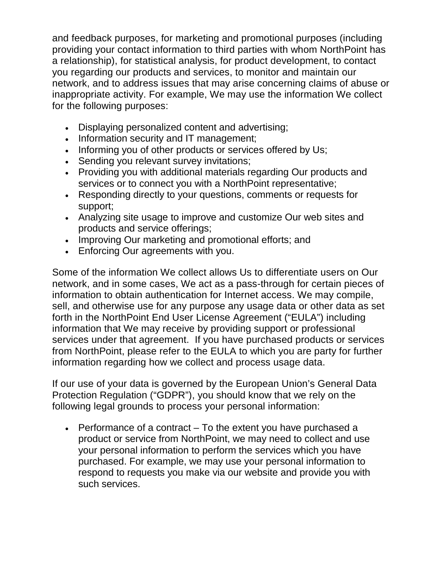and feedback purposes, for marketing and promotional purposes (including providing your contact information to third parties with whom NorthPoint has a relationship), for statistical analysis, for product development, to contact you regarding our products and services, to monitor and maintain our network, and to address issues that may arise concerning claims of abuse or inappropriate activity. For example, We may use the information We collect for the following purposes:

- Displaying personalized content and advertising;
- Information security and IT management;
- Informing you of other products or services offered by Us;
- Sending you relevant survey invitations;
- Providing you with additional materials regarding Our products and services or to connect you with a NorthPoint representative;
- Responding directly to your questions, comments or requests for support;
- Analyzing site usage to improve and customize Our web sites and products and service offerings;
- Improving Our marketing and promotional efforts; and
- Enforcing Our agreements with you.

Some of the information We collect allows Us to differentiate users on Our network, and in some cases, We act as a pass-through for certain pieces of information to obtain authentication for Internet access. We may compile, sell, and otherwise use for any purpose any usage data or other data as set forth in the NorthPoint End User License Agreement ("EULA") including information that We may receive by providing support or professional services under that agreement. If you have purchased products or services from NorthPoint, please refer to the EULA to which you are party for further information regarding how we collect and process usage data.

If our use of your data is governed by the European Union's General Data Protection Regulation ("GDPR"), you should know that we rely on the following legal grounds to process your personal information:

• Performance of a contract – To the extent you have purchased a product or service from NorthPoint, we may need to collect and use your personal information to perform the services which you have purchased. For example, we may use your personal information to respond to requests you make via our website and provide you with such services.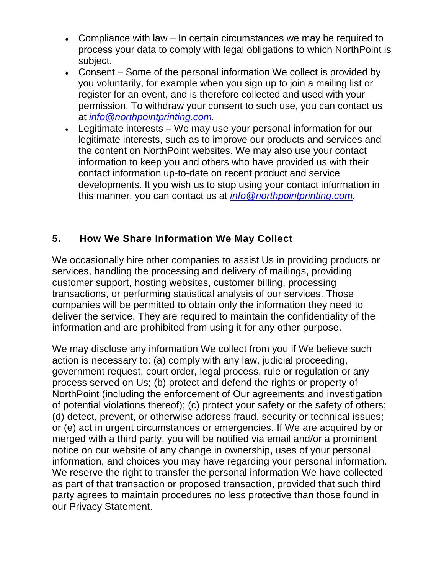- Compliance with law In certain circumstances we may be required to process your data to comply with legal obligations to which NorthPoint is subject.
- Consent Some of the personal information We collect is provided by you voluntarily, for example when you sign up to join a mailing list or register for an event, and is therefore collected and used with your permission. To withdraw your consent to such use, you can contact us at *[info@northpointprinting.com.](mailto:info@northpointprinting.com)*
- Legitimate interests We may use your personal information for our legitimate interests, such as to improve our products and services and the content on NorthPoint websites. We may also use your contact information to keep you and others who have provided us with their contact information up-to-date on recent product and service developments. It you wish us to stop using your contact information in this manner, you can contact us at *[info@northpointprinting.com.](mailto:info@northpointprinting.com)*

## **5. How We Share Information We May Collect**

We occasionally hire other companies to assist Us in providing products or services, handling the processing and delivery of mailings, providing customer support, hosting websites, customer billing, processing transactions, or performing statistical analysis of our services. Those companies will be permitted to obtain only the information they need to deliver the service. They are required to maintain the confidentiality of the information and are prohibited from using it for any other purpose.

We may disclose any information We collect from you if We believe such action is necessary to: (a) comply with any law, judicial proceeding, government request, court order, legal process, rule or regulation or any process served on Us; (b) protect and defend the rights or property of NorthPoint (including the enforcement of Our agreements and investigation of potential violations thereof); (c) protect your safety or the safety of others; (d) detect, prevent, or otherwise address fraud, security or technical issues; or (e) act in urgent circumstances or emergencies. If We are acquired by or merged with a third party, you will be notified via email and/or a prominent notice on our website of any change in ownership, uses of your personal information, and choices you may have regarding your personal information. We reserve the right to transfer the personal information We have collected as part of that transaction or proposed transaction, provided that such third party agrees to maintain procedures no less protective than those found in our Privacy Statement.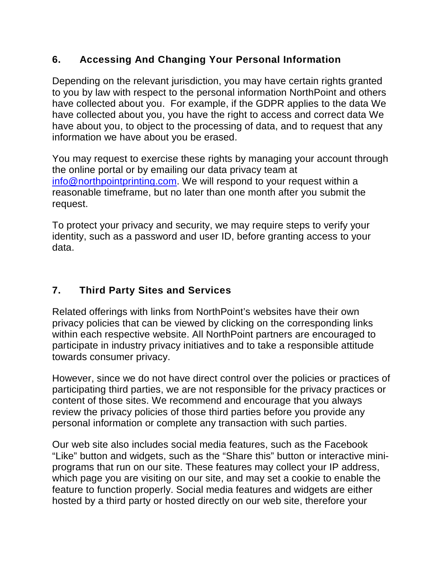# **6. Accessing And Changing Your Personal Information**

Depending on the relevant jurisdiction, you may have certain rights granted to you by law with respect to the personal information NorthPoint and others have collected about you. For example, if the GDPR applies to the data We have collected about you, you have the right to access and correct data We have about you, to object to the processing of data, and to request that any information we have about you be erased.

You may request to exercise these rights by managing your account through the online portal or by emailing our data privacy team at [info@northpointprinting.com.](mailto:info@northpointprinting.com) We will respond to your request within a reasonable timeframe, but no later than one month after you submit the request.

To protect your privacy and security, we may require steps to verify your identity, such as a password and user ID, before granting access to your data.

# **7. Third Party Sites and Services**

Related offerings with links from NorthPoint's websites have their own privacy policies that can be viewed by clicking on the corresponding links within each respective website. All NorthPoint partners are encouraged to participate in industry privacy initiatives and to take a responsible attitude towards consumer privacy.

However, since we do not have direct control over the policies or practices of participating third parties, we are not responsible for the privacy practices or content of those sites. We recommend and encourage that you always review the privacy policies of those third parties before you provide any personal information or complete any transaction with such parties.

Our web site also includes social media features, such as the Facebook "Like" button and widgets, such as the "Share this" button or interactive miniprograms that run on our site. These features may collect your IP address, which page you are visiting on our site, and may set a cookie to enable the feature to function properly. Social media features and widgets are either hosted by a third party or hosted directly on our web site, therefore your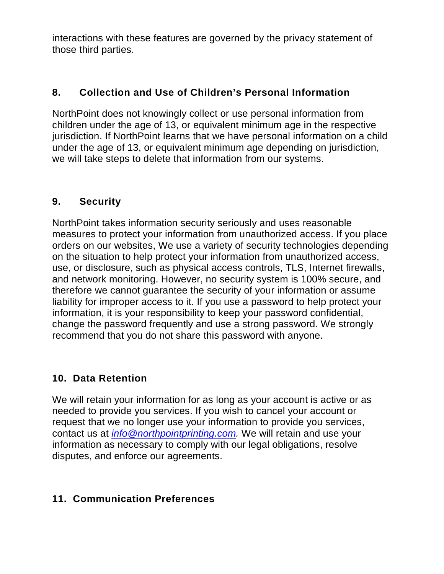interactions with these features are governed by the privacy statement of those third parties.

# **8. Collection and Use of Children's Personal Information**

NorthPoint does not knowingly collect or use personal information from children under the age of 13, or equivalent minimum age in the respective jurisdiction. If NorthPoint learns that we have personal information on a child under the age of 13, or equivalent minimum age depending on jurisdiction, we will take steps to delete that information from our systems.

#### **9. Security**

NorthPoint takes information security seriously and uses reasonable measures to protect your information from unauthorized access. If you place orders on our websites, We use a variety of security technologies depending on the situation to help protect your information from unauthorized access, use, or disclosure, such as physical access controls, TLS, Internet firewalls, and network monitoring. However, no security system is 100% secure, and therefore we cannot guarantee the security of your information or assume liability for improper access to it. If you use a password to help protect your information, it is your responsibility to keep your password confidential, change the password frequently and use a strong password. We strongly recommend that you do not share this password with anyone.

## **10. Data Retention**

We will retain your information for as long as your account is active or as needed to provide you services. If you wish to cancel your account or request that we no longer use your information to provide you services, contact us at *[info@northpointprinting.com.](mailto:info@northpointprinting.com)* We will retain and use your information as necessary to comply with our legal obligations, resolve disputes, and enforce our agreements.

## **11. Communication Preferences**